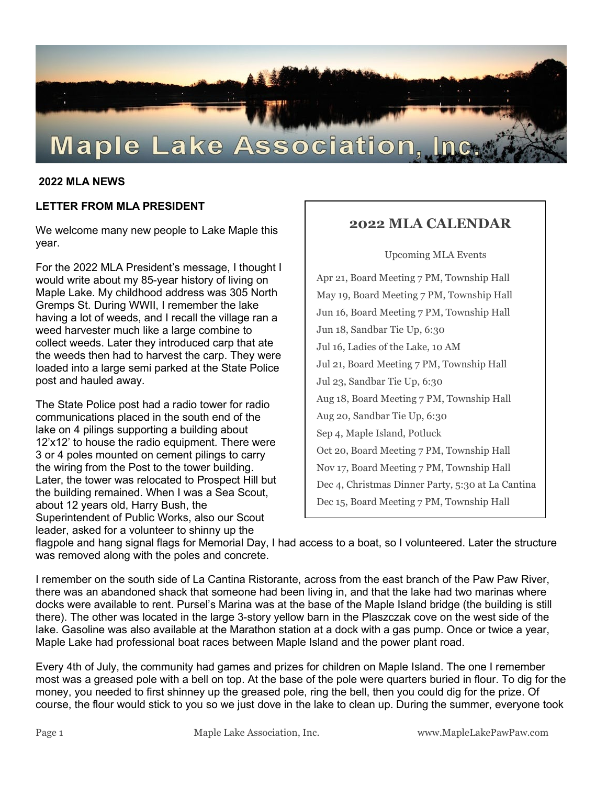

# **2022 MLA NEWS**

#### **LETTER FROM MLA PRESIDENT**

We welcome many new people to Lake Maple this year.

For the 2022 MLA President's message, I thought I would write about my 85-year history of living on Maple Lake. My childhood address was 305 North Gremps St. During WWII, I remember the lake having a lot of weeds, and I recall the village ran a weed harvester much like a large combine to collect weeds. Later they introduced carp that ate the weeds then had to harvest the carp. They were loaded into a large semi parked at the State Police post and hauled away.

The State Police post had a radio tower for radio communications placed in the south end of the lake on 4 pilings supporting a building about 12'x12' to house the radio equipment. There were 3 or 4 poles mounted on cement pilings to carry the wiring from the Post to the tower building. Later, the tower was relocated to Prospect Hill but the building remained. When I was a Sea Scout, about 12 years old, Harry Bush, the Superintendent of Public Works, also our Scout leader, asked for a volunteer to shinny up the

# **2022 MLA CALENDAR**

#### Upcoming MLA Events

Apr 21, Board Meeting 7 PM, Township Hall May 19, Board Meeting 7 PM, Township Hall Jun 16, Board Meeting 7 PM, Township Hall Jun 18, Sandbar Tie Up, 6:30 Jul 16, Ladies of the Lake, 10 AM Jul 21, Board Meeting 7 PM, Township Hall Jul 23, Sandbar Tie Up, 6:30 Aug 18, Board Meeting 7 PM, Township Hall Aug 20, Sandbar Tie Up, 6:30 Sep 4, Maple Island, Potluck Oct 20, Board Meeting 7 PM, Township Hall Nov 17, Board Meeting 7 PM, Township Hall Dec 4, Christmas Dinner Party, 5:30 at La Cantina Dec 15, Board Meeting 7 PM, Township Hall

flagpole and hang signal flags for Memorial Day, I had access to a boat, so I volunteered. Later the structure was removed along with the poles and concrete.

I remember on the south side of La Cantina Ristorante, across from the east branch of the Paw Paw River, there was an abandoned shack that someone had been living in, and that the lake had two marinas where docks were available to rent. Pursel's Marina was at the base of the Maple Island bridge (the building is still there). The other was located in the large 3-story yellow barn in the Plaszczak cove on the west side of the lake. Gasoline was also available at the Marathon station at a dock with a gas pump. Once or twice a year, Maple Lake had professional boat races between Maple Island and the power plant road.

Every 4th of July, the community had games and prizes for children on Maple Island. The one I remember most was a greased pole with a bell on top. At the base of the pole were quarters buried in flour. To dig for the money, you needed to first shinney up the greased pole, ring the bell, then you could dig for the prize. Of course, the flour would stick to you so we just dove in the lake to clean up. During the summer, everyone took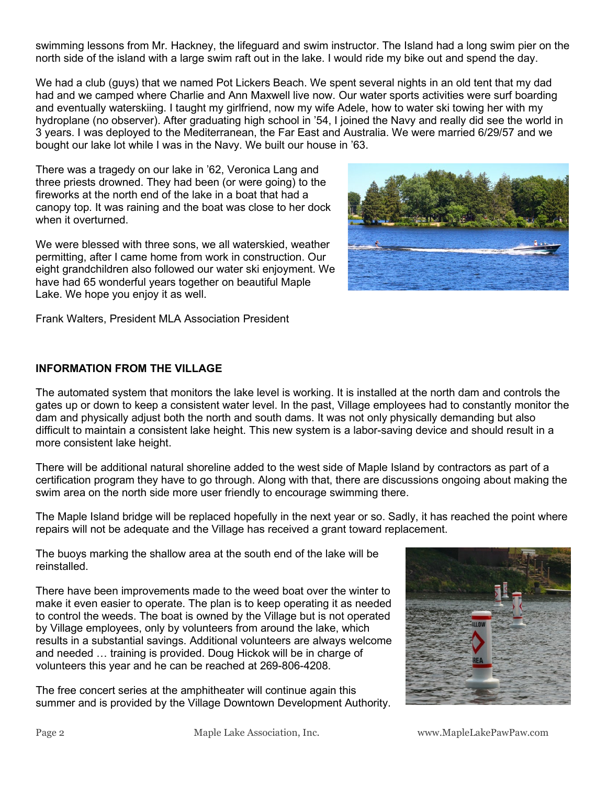swimming lessons from Mr. Hackney, the lifeguard and swim instructor. The Island had a long swim pier on the north side of the island with a large swim raft out in the lake. I would ride my bike out and spend the day.

We had a club (guys) that we named Pot Lickers Beach. We spent several nights in an old tent that my dad had and we camped where Charlie and Ann Maxwell live now. Our water sports activities were surf boarding and eventually waterskiing. I taught my girlfriend, now my wife Adele, how to water ski towing her with my hydroplane (no observer). After graduating high school in '54, I joined the Navy and really did see the world in 3 years. I was deployed to the Mediterranean, the Far East and Australia. We were married 6/29/57 and we bought our lake lot while I was in the Navy. We built our house in '63.

There was a tragedy on our lake in '62, Veronica Lang and three priests drowned. They had been (or were going) to the fireworks at the north end of the lake in a boat that had a canopy top. It was raining and the boat was close to her dock when it overturned.

We were blessed with three sons, we all waterskied, weather permitting, after I came home from work in construction. Our eight grandchildren also followed our water ski enjoyment. We have had 65 wonderful years together on beautiful Maple Lake. We hope you enjoy it as well.



# **INFORMATION FROM THE VILLAGE**

The automated system that monitors the lake level is working. It is installed at the north dam and controls the gates up or down to keep a consistent water level. In the past, Village employees had to constantly monitor the dam and physically adjust both the north and south dams. It was not only physically demanding but also difficult to maintain a consistent lake height. This new system is a labor-saving device and should result in a more consistent lake height.

There will be additional natural shoreline added to the west side of Maple Island by contractors as part of a certification program they have to go through. Along with that, there are discussions ongoing about making the swim area on the north side more user friendly to encourage swimming there.

The Maple Island bridge will be replaced hopefully in the next year or so. Sadly, it has reached the point where repairs will not be adequate and the Village has received a grant toward replacement.

The buoys marking the shallow area at the south end of the lake will be reinstalled.

There have been improvements made to the weed boat over the winter to make it even easier to operate. The plan is to keep operating it as needed to control the weeds. The boat is owned by the Village but is not operated by Village employees, only by volunteers from around the lake, which results in a substantial savings. Additional volunteers are always welcome and needed … training is provided. Doug Hickok will be in charge of volunteers this year and he can be reached at 269-806-4208.

The free concert series at the amphitheater will continue again this summer and is provided by the Village Downtown Development Authority.